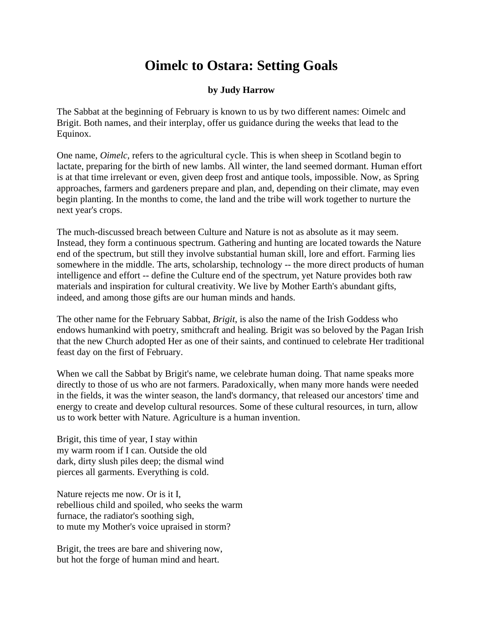## **Oimelc to Ostara: Setting Goals**

## **by Judy Harrow**

The Sabbat at the beginning of February is known to us by two different names: Oimelc and Brigit. Both names, and their interplay, offer us guidance during the weeks that lead to the Equinox.

One name, *Oimelc*, refers to the agricultural cycle. This is when sheep in Scotland begin to lactate, preparing for the birth of new lambs. All winter, the land seemed dormant. Human effort is at that time irrelevant or even, given deep frost and antique tools, impossible. Now, as Spring approaches, farmers and gardeners prepare and plan, and, depending on their climate, may even begin planting. In the months to come, the land and the tribe will work together to nurture the next year's crops.

The much-discussed breach between Culture and Nature is not as absolute as it may seem. Instead, they form a continuous spectrum. Gathering and hunting are located towards the Nature end of the spectrum, but still they involve substantial human skill, lore and effort. Farming lies somewhere in the middle. The arts, scholarship, technology -- the more direct products of human intelligence and effort -- define the Culture end of the spectrum, yet Nature provides both raw materials and inspiration for cultural creativity. We live by Mother Earth's abundant gifts, indeed, and among those gifts are our human minds and hands.

The other name for the February Sabbat, *Brigit*, is also the name of the Irish Goddess who endows humankind with poetry, smithcraft and healing. Brigit was so beloved by the Pagan Irish that the new Church adopted Her as one of their saints, and continued to celebrate Her traditional feast day on the first of February.

When we call the Sabbat by Brigit's name, we celebrate human doing. That name speaks more directly to those of us who are not farmers. Paradoxically, when many more hands were needed in the fields, it was the winter season, the land's dormancy, that released our ancestors' time and energy to create and develop cultural resources. Some of these cultural resources, in turn, allow us to work better with Nature. Agriculture is a human invention.

Brigit, this time of year, I stay within my warm room if I can. Outside the old dark, dirty slush piles deep; the dismal wind pierces all garments. Everything is cold.

Nature rejects me now. Or is it I, rebellious child and spoiled, who seeks the warm furnace, the radiator's soothing sigh, to mute my Mother's voice upraised in storm?

Brigit, the trees are bare and shivering now, but hot the forge of human mind and heart.